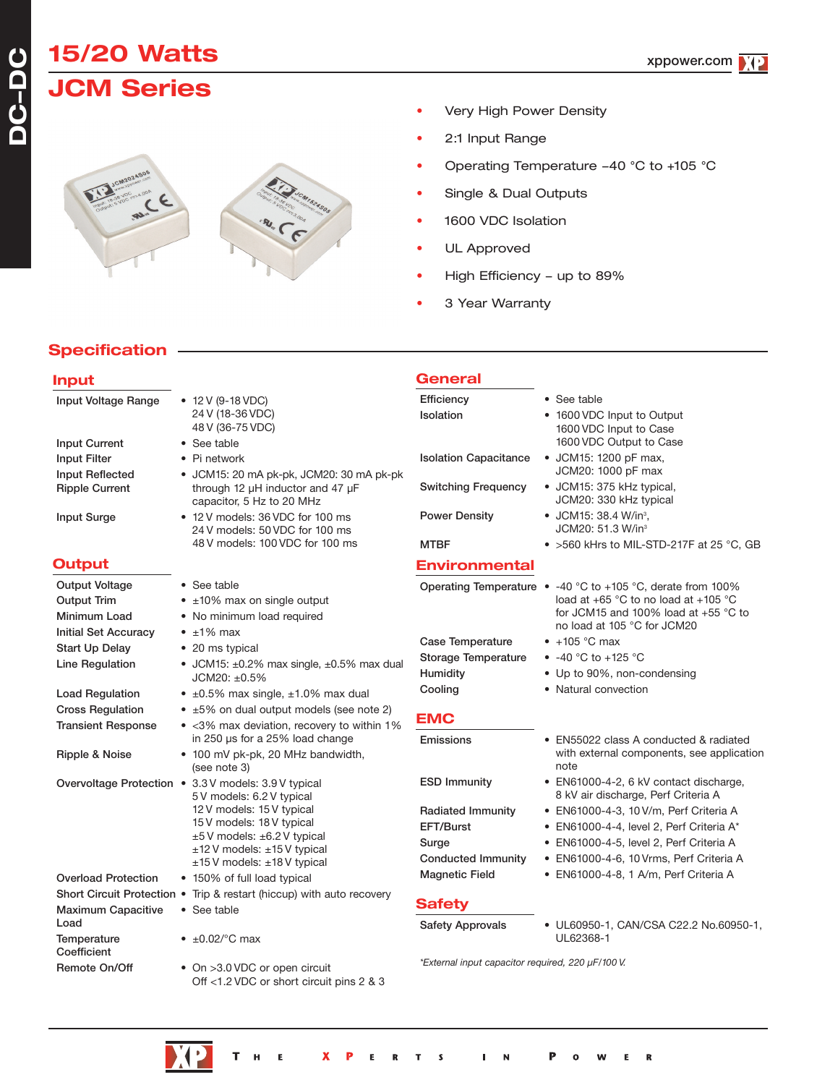# **15/20 Watts JCM Series**



- Very High Power Density
- 2:1 Input Range
- Operating Temperature -40 °C to +105 °C
- Single & Dual Outputs
- 1600 VDC Isolation
- UL Approved

**General**

- High Efficiency up to 89%
- 3 Year Warranty

### **Specification**

### **Input**

| Input Voltage Range         | • 12 V (9-18 VDC)                                                                                                          | Efficiency                                        | • See table                                                                         |  |  |
|-----------------------------|----------------------------------------------------------------------------------------------------------------------------|---------------------------------------------------|-------------------------------------------------------------------------------------|--|--|
|                             | 24 V (18-36 VDC)                                                                                                           | Isolation                                         | • 1600 VDC Input to Output                                                          |  |  |
|                             | 48 V (36-75 VDC)                                                                                                           |                                                   | 1600 VDC Input to Case                                                              |  |  |
| <b>Input Current</b>        | • See table                                                                                                                |                                                   | 1600 VDC Output to Case                                                             |  |  |
| <b>Input Filter</b>         | • Pi network                                                                                                               | <b>Isolation Capacitance</b>                      | • JCM15: 1200 pF max,                                                               |  |  |
| <b>Input Reflected</b>      | · JCM15: 20 mA pk-pk, JCM20: 30 mA pk-pk                                                                                   |                                                   | JCM20: 1000 pF max                                                                  |  |  |
| <b>Ripple Current</b>       | through 12 µH inductor and 47 µF<br>capacitor, 5 Hz to 20 MHz                                                              | <b>Switching Frequency</b>                        | • JCM15: 375 kHz typical,<br>JCM20: 330 kHz typical                                 |  |  |
| <b>Input Surge</b>          | • 12 V models: 36 VDC for 100 ms                                                                                           | <b>Power Density</b>                              | • JCM15: 38.4 W/in <sup>3</sup> ,                                                   |  |  |
|                             | 24 V models: 50 VDC for 100 ms                                                                                             |                                                   | JCM20: 51.3 W/in <sup>3</sup>                                                       |  |  |
|                             | 48 V models: 100 VDC for 100 ms                                                                                            | <b>MTBF</b>                                       | $\bullet$ >560 kHrs to MIL-STD-217F at 25 °C. GB                                    |  |  |
| Output                      |                                                                                                                            | <b>Environmental</b>                              |                                                                                     |  |  |
| Output Voltage              | • See table                                                                                                                |                                                   | Operating Temperature $\bullet$ -40 °C to +105 °C, derate from 100%                 |  |  |
| <b>Output Trim</b>          | $\bullet$ ±10% max on single output                                                                                        |                                                   | load at +65 °C to no load at +105 °C                                                |  |  |
| Minimum Load                | • No minimum load required                                                                                                 |                                                   | for JCM15 and 100% load at $+55$ °C to<br>no load at 105 °C for JCM20               |  |  |
| <b>Initial Set Accuracy</b> | $\cdot$ ±1% max                                                                                                            | <b>Case Temperature</b>                           | $\bullet$ +105 °C max                                                               |  |  |
| <b>Start Up Delay</b>       | • 20 ms typical                                                                                                            | <b>Storage Temperature</b>                        | • $-40$ °C to $+125$ °C                                                             |  |  |
| <b>Line Requlation</b>      | • JCM15: $\pm 0.2\%$ max single, $\pm 0.5\%$ max dual                                                                      | Humidity                                          | • Up to 90%, non-condensing                                                         |  |  |
|                             | JCM20: ±0.5%                                                                                                               |                                                   | • Natural convection                                                                |  |  |
| <b>Load Regulation</b>      | $\bullet$ ±0.5% max single, ±1.0% max dual                                                                                 | Cooling                                           |                                                                                     |  |  |
| <b>Cross Regulation</b>     | • ±5% on dual output models (see note 2)                                                                                   | <b>EMC</b>                                        |                                                                                     |  |  |
| <b>Transient Response</b>   | • < 3% max deviation, recovery to within 1%                                                                                |                                                   |                                                                                     |  |  |
|                             | in 250 µs for a 25% load change                                                                                            | Emissions                                         | • EN55022 class A conducted & radiated<br>with external components, see application |  |  |
| Ripple & Noise              | • 100 mV pk-pk, 20 MHz bandwidth,<br>(see note 3)                                                                          |                                                   | note                                                                                |  |  |
|                             | Overvoltage Protection • 3.3 V models: 3.9 V typical                                                                       | <b>ESD Immunity</b>                               | • EN61000-4-2, 6 kV contact discharge,                                              |  |  |
|                             | 5V models: 6.2V typical                                                                                                    |                                                   | 8 kV air discharge, Perf Criteria A                                                 |  |  |
|                             | 12 V models: 15 V typical                                                                                                  | <b>Radiated Immunity</b>                          | • EN61000-4-3, 10 V/m, Perf Criteria A                                              |  |  |
|                             | 15 V models: 18 V typical<br>±5 V models: ±6.2 V typical<br>$±12$ V models: $±15$ V typical<br>±15 V models: ±18 V typical | EFT/Burst                                         | • EN61000-4-4, level 2, Perf Criteria A*                                            |  |  |
|                             |                                                                                                                            | Surge                                             | • EN61000-4-5, level 2, Perf Criteria A                                             |  |  |
|                             |                                                                                                                            | <b>Conducted Immunity</b>                         | • EN61000-4-6, 10 Vrms, Perf Criteria A                                             |  |  |
| <b>Overload Protection</b>  | • 150% of full load typical                                                                                                | <b>Magnetic Field</b>                             | • EN61000-4-8, 1 A/m, Perf Criteria A                                               |  |  |
| Short Circuit Protection •  | Trip & restart (hiccup) with auto recovery                                                                                 |                                                   |                                                                                     |  |  |
| <b>Maximum Capacitive</b>   | • See table                                                                                                                | <b>Safety</b>                                     |                                                                                     |  |  |
| Load                        |                                                                                                                            | <b>Safety Approvals</b>                           | • UL60950-1, CAN/CSA C22.2 No.60950-1,                                              |  |  |
| Temperature                 | $\bullet$ ±0.02/ $\degree$ C max                                                                                           |                                                   | UL62368-1                                                                           |  |  |
| Coefficient                 |                                                                                                                            |                                                   |                                                                                     |  |  |
| Remote On/Off               | • On >3.0 VDC or open circuit<br>Off <1.2 VDC or short circuit pins 2 & 3                                                  | *External input capacitor required, 220 µF/100 V. |                                                                                     |  |  |
|                             |                                                                                                                            |                                                   |                                                                                     |  |  |